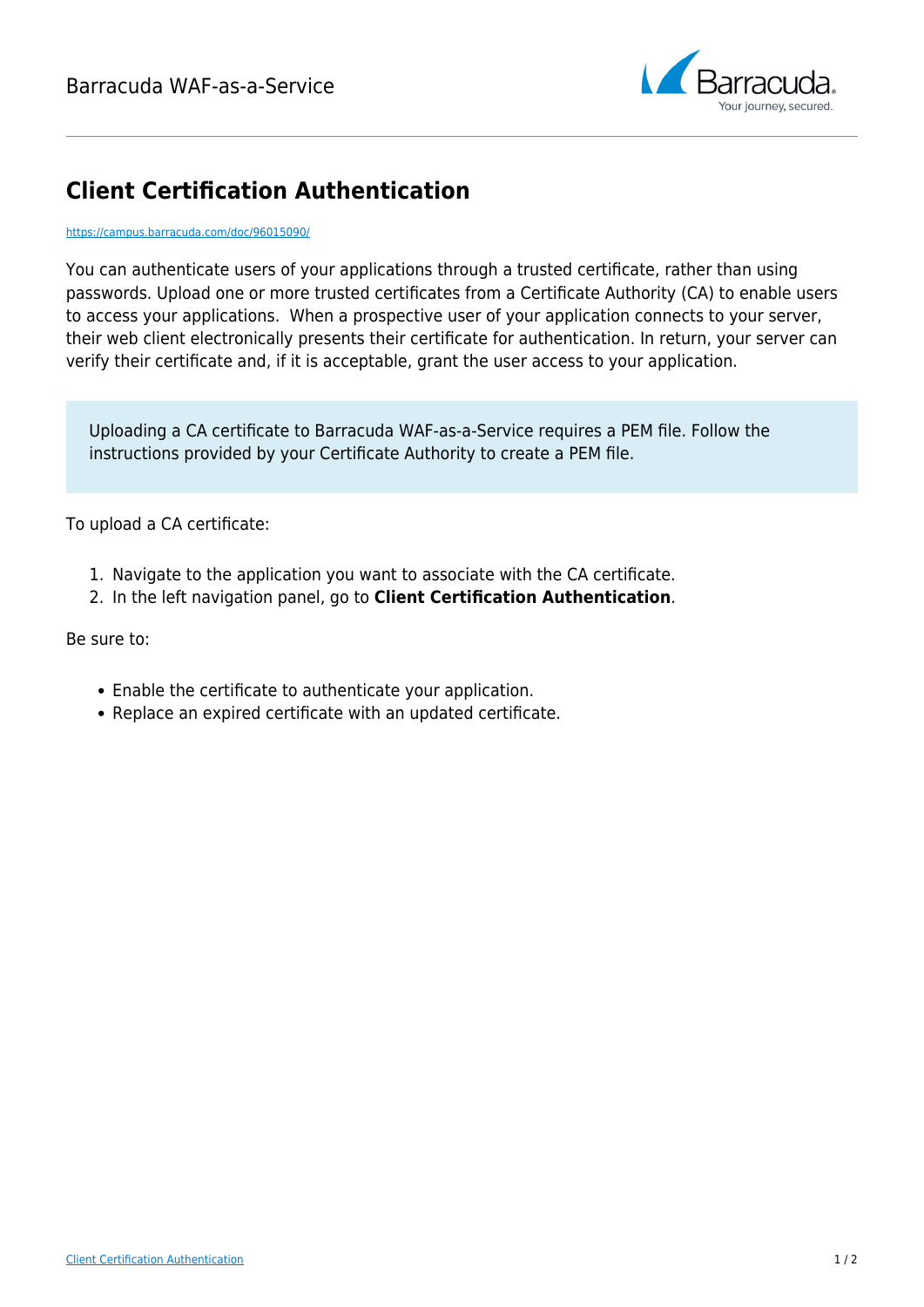

## **Client Certification Authentication**

## <https://campus.barracuda.com/doc/96015090/>

You can authenticate users of your applications through a trusted certificate, rather than using passwords. Upload one or more trusted certificates from a Certificate Authority (CA) to enable users to access your applications. When a prospective user of your application connects to your server, their web client electronically presents their certificate for authentication. In return, your server can verify their certificate and, if it is acceptable, grant the user access to your application.

Uploading a CA certificate to Barracuda WAF-as-a-Service requires a PEM file. Follow the instructions provided by your Certificate Authority to create a PEM file.

To upload a CA certificate:

- 1. Navigate to the application you want to associate with the CA certificate.
- 2. In the left navigation panel, go to **Client Certification Authentication**.

Be sure to:

- Enable the certificate to authenticate your application.
- Replace an expired certificate with an updated certificate.